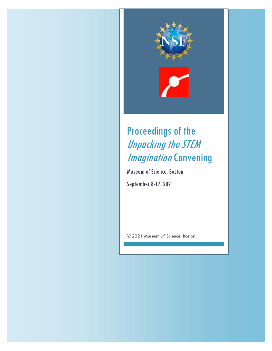

# Proceedings of the Unpacking the STEM **Imagination Convening**

Museum of Science, Boston

September 8-17, 2021

© 2021 Museum of Science, Boston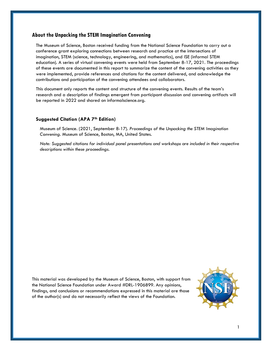## About the Unpacking the STEM Imagination Convening

The Museum of Science, Boston received funding from the National Science Foundation to carry out a conference grant exploring connections between research and practice at the intersections of imagination, STEM (science, technology, engineering, and mathematics), and ISE (informal STEM education). A series of virtual convening events were held from September 8-17, 2021. The proceedings of these events are documented in this report to summarize the content of the convening activities as they were implemented, provide references and citations for the content delivered, and acknowledge the contributions and participation of the convening attendees and collaborators.

This document only reports the content and structure of the convening events. Results of the team's research and a description of findings emergent from participant discussion and convening artifacts will be reported in 2022 and shared on informalscience.org.

#### Suggested Citation (APA 7<sup>th</sup> Edition)

Museum of Science. (2021, September 8-17). Proceedings of the Unpacking the STEM Imagination Convening. Museum of Science, Boston, MA, United States.

Note: Suggested citations for individual panel presentations and workshops are included in their respective descriptions within these proceedings.

This material was developed by the Museum of Science, Boston, with support from the National Science Foundation under Award #DRL-1906899. Any opinions, findings, and conclusions or recommendations expressed in this material are those of the author(s) and do not necessarily reflect the views of the Foundation.

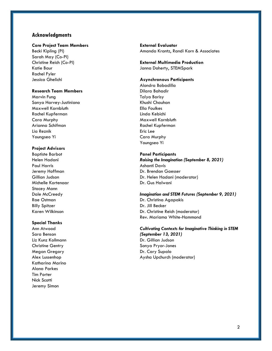## Acknowledgments

#### Core Project Team Members

Becki Kipling (PI) Sarah May (Co-PI) Christine Reich (Co-PI) Katie Baur Rachel Fyler Jessica Ghelichi

## Research Team Members

Marvin Fung Sonya Harvey-Justiniano Maxwell Kornbluth Rachel Kupferman Cara Murphy Arianna Schifman Lia Reznik Youngseo Yi

## Project Advisors

Baptiste Barbot Helen Hadani Paul Harris Jeremy Hoffman Gillian Judson Michelle Kortenaar Stacey Mann Dale McCreedy Rae Ostman Billy Spitzer Karen Wilkinson

#### Special Thanks

Ann Atwood Sara Benson Liz Kunz Kollmann Christine Gentry Megan Gregory Alex Lussenhop Katharina Marino Alana Parkes Tim Porter Nick Scotti Jeremy Simon

External Evaluator Amanda Krantz, Randi Korn & Associates

External Multimedia Production Janna Doherty, STEMSpark

#### Asynchronous Participants

Alondra Bobadilla Dilara Bahadir Talya Borisy Khushi Chauhan Ella Foulkes Linda Kebichi Maxwell Kornbluth Rachel Kupferman Eric Lee Cara Murphy Youngseo Yi

## Panel Participants

Raising the Imagination (September 8, 2021) Ashanti Davis Dr. Brendan Gaesser Dr. Helen Hadani (moderator) Dr. Gus Halwani

#### Imagination and STEM Futures (September 9, 2021)

Dr. Christina Agapakis Dr. Jill Becker Dr. Christine Reich (moderator) Rev. Mariama White-Hammond

#### Cultivating Contexts for Imaginative Thinking in STEM (September 13, 2021)

Dr. Gillian Judson Sonya Pryor-Jones Dr. Cary Supalo Aysha Upchurch (moderator)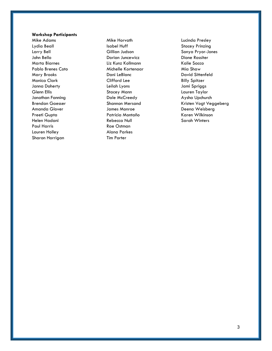## Workshop Participants

Mike Adams Lydia Beall Larry Bell John Bello Marta Biarnes Pablo Brenes Coto Mary Brooks Monica Clark Janna Doherty Glenn Ellis Jonathan Fanning Brendan Gaesser Amanda Glover Preeti Gupta Helen Hadani Paul Harris Lauren Holley Sharon Horrigan

Mike Horvath Isabel Huff Gillian Judson Dorian Juncewicz Liz Kunz Kollmann Michelle Kortenaar Dani LeBlanc Clifford Lee Leilah Lyons Stacey Mann Dale McCreedy Shannon Mersand James Monroe Patricia Montaño Rebecca Null Rae Ostman Alana Parkes Tim Porter

Lucinda Presley Stacey Prinzing Sonya Pryor-Jones Dione Rossiter Kalie Sacco Mia Shaw David Sittenfeld Billy Spitzer Jami Spriggs Lauren Taylor Aysha Upchurch Kristen Vogt Veggeberg Deena Weisberg Karen Wilkinson Sarah Winters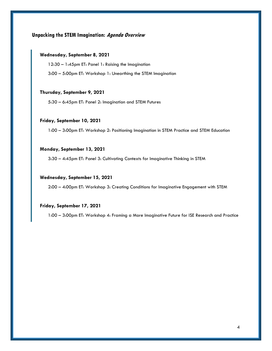# Unpacking the STEM Imagination: Agenda Overview

## Wednesday, September 8, 2021

12:30 – 1:45pm ET: Panel 1: Raising the Imagination

3:00 – 5:00pm ET: Workshop 1: Unearthing the STEM Imagination

### Thursday, September 9, 2021

5:30 – 6:45pm ET: Panel 2: Imagination and STEM Futures

#### Friday, September 10, 2021

1:00 – 3:00pm ET: Workshop 2: Positioning Imagination in STEM Practice and STEM Education

#### Monday, September 13, 2021

3:30 – 4:45pm ET: Panel 3: Cultivating Contexts for Imaginative Thinking in STEM

#### Wednesday, September 15, 2021

2:00 – 4:00pm ET: Workshop 3: Creating Conditions for Imaginative Engagement with STEM

## Friday, September 17, 2021

1:00 – 3:00pm ET: Workshop 4: Framing a More Imaginative Future for ISE Research and Practice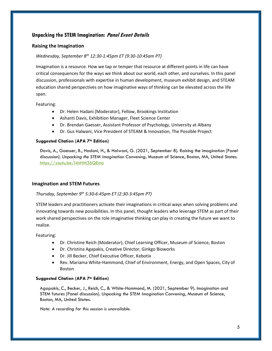# Unpacking the STEM Imagination: Panel Event Details

## Raising the Imagination

## Wednesday, September 8<sup>th</sup> 12:30-1:45pm ET (9:30-10:45am PT)

Imagination is a resource. How we tap or temper that resource at different points in life can have critical consequences for the ways we think about our world, each other, and ourselves. In this panel discussion, professionals with expertise in human development, museum exhibit design, and STEAM education shared perspectives on how imaginative ways of thinking can be elevated across the life span.

Featuring:

- Dr. Helen Hadani (Moderator), Fellow, Brookings Institution
- Ashanti Davis, Exhibition Manager, Fleet Science Center
- Dr. Brendan Gaesser, Assistant Professor of Psychology, University at Albany
- Dr. Gus Halwani, Vice President of STEAM & Innovation, The Possible Project

## Suggested Citation (APA 7th Edition)

Davis, A., Gaesser, B., Hadani, H., & Halwani, G. (2021, September 8). Raising the imagination [Panel discussion]. Unpacking the STEM Imagination Convening, Museum of Science, Boston, MA, United States. https://youtu.be/l4nHM36QEmo

## Imagination and STEM Futures

## Thursday, September  $9^{th}$  5:30-6:45pm ET (2:30-3:45pm PT)

STEM leaders and practitioners activate their imaginations in critical ways when solving problems and innovating towards new possibilities. In this panel, thought leaders who leverage STEM as part of their work shared perspectives on the role imaginative thinking can play in creating the future we want to realize.

Featuring:

- Dr. Christine Reich (Moderator), Chief Learning Officer, Museum of Science, Boston
- Dr. Christina Agapakis, Creative Director, Ginkgo Bioworks
- Dr. Jill Becker, Chief Executive Officer, Kebotix
- Rev. Mariama White-Hammond, Chief of Environment, Energy, and Open Spaces, City of Boston

## Suggested Citation (APA 7th Edition)

Agapakis, C., Becker, J., Reich, C., & White-Hammond, M. (2021, September 9). Imagination and STEM futures [Panel discussion]. Unpacking the STEM Imagination Convening, Museum of Science, Boston, MA, United States.

Note: A recording for this session is unavailable.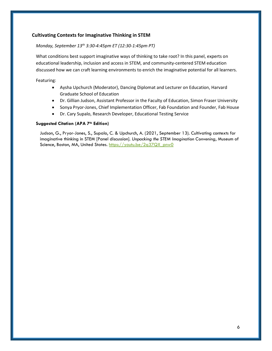## Cultivating Contexts for Imaginative Thinking in STEM

## Monday, September 13<sup>th</sup> 3:30-4:45pm ET (12:30-1:45pm PT)

What conditions best support imaginative ways of thinking to take root? In this panel, experts on educational leadership, inclusion and access in STEM, and community-centered STEM education discussed how we can craft learning environments to enrich the imaginative potential for all learners.

Featuring:

- Aysha Upchurch (Moderator), Dancing Diplomat and Lecturer on Education, Harvard Graduate School of Education
- Dr. Gillian Judson, Assistant Professor in the Faculty of Education, Simon Fraser University
- Sonya Pryor-Jones, Chief Implementation Officer, Fab Foundation and Founder, Fab House
- Dr. Cary Supalo, Research Developer, Educational Testing Service

## Suggested Citation (APA 7th Edition)

Judson, G., Pryor-Jones, S., Supalo, C. & Upchurch, A. (2021, September 13). Cultivating contexts for imaginative thinking in STEM [Panel discussion]. Unpacking the STEM Imagination Convening, Museum of Science, Boston, MA, United States. https://youtu.be/2q37QX\_pnw0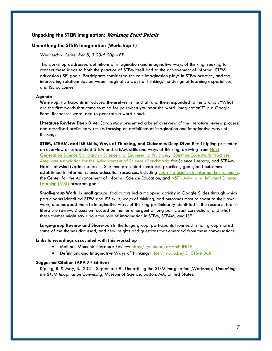## Unpacking the STEM Imagination: Workshop Event Details

#### Unearthing the STEM Imagination (Workshop 1)

#### Wednesday, September 8, 3:00-5:00pm ET

This workshop addressed definitions of imagination and imaginative ways of thinking, seeking to connect these ideas to both the practice of STEM itself and to the achievement of informal STEM education (ISE) goals. Participants considered the role imagination plays in STEM practice, and the intersecting relationships between imaginative ways of thinking, the design of learning experiences, and ISE outcomes.

#### Agenda

Warm-up: Participants introduced themselves in the chat, and then responded to the prompt, "What are the first words that come to mind for you when you hear the word 'imagination'?" in a Google Form. Responses were used to generate a word cloud.

Literature Review Deep Dive: Sarah May presented a brief overview of the literature review process, and described preliminary results focusing on definitions of imagination and imaginative ways of thinking.

STEM, STEAM, and ISE Skills, Ways of Thinking, and Outcomes Deep Dive: Becki Kipling presented an overview of established STEM and STEAM skills and ways of thinking, drawing from Next Generation Science Standards - Science and Engineering Practices, Common Core Math Practices, American Association for the Advancement of Science's Benchmarks for Science Literacy, and STEAM Habits of Mind (various sources). She then presented constructs, practices, goals, and outcomes established in informal science education resources, including Learning Science in Informal Environments, the Center for the Advancement of Informal Science Education, and NSF's Advancing Informal Science Learning (AISL) program goals.

Small-group Work: In small groups, facilitators led a mapping activity in Google Slides through which participants identified STEM and ISE skills, ways of thinking, and outcomes most relevant to their own work, and mapped them to imaginative ways of thinking preliminarily identified in the research team's literature review. Discussion focused on themes emergent among participant connections, and what these themes might say about the role of imagination in STEM, STEAM, and ISE.

Large-group Review and Share-out: In the large group, participants from each small group shared some of the themes discussed, and new insights and questions that emerged from these conversations.

#### Links to recordings associated with this workshop

- Methods Moment: Literature Review: https://youtu.be/qAValFriHGE
- Definitions and Imaginative Ways of Thinking: https://youtu.be/O\_6TS-sk3q8

#### Suggested Citation (APA 7th Edition)

Kipling, R. & May, S. (2021, September 8). Unearthing the STEM imagination [Workshop]. Unpacking the STEM Imagination Convening, Museum of Science, Boston, MA, United States.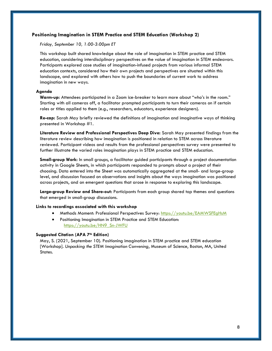#### Positioning Imagination in STEM Practice and STEM Education (Workshop 2)

#### Friday, September 10, 1:00-3:00pm ET

This workshop built shared knowledge about the role of imagination in STEM practice and STEM education, considering interdisciplinary perspectives on the value of imagination in STEM endeavors. Participants explored case studies of imagination-infused projects from various informal STEM education contexts, considered how their own projects and perspectives are situated within this landscape, and explored with others how to push the boundaries of current work to address imagination in new ways.

#### Agenda

Warm-up: Attendees participated in a Zoom ice-breaker to learn more about "who's in the room." Starting with all cameras off, a facilitator prompted participants to turn their cameras on if certain roles or titles applied to them (e.g., researchers, educators, experience designers).

Re-cap: Sarah May briefly reviewed the definitions of imagination and imaginative ways of thinking presented in Workshop #1.

Literature Review and Professional Perspectives Deep Dive: Sarah May presented findings from the literature review describing how imagination is positioned in relation to STEM across literature reviewed. Participant videos and results from the professional perspectives survey were presented to further illustrate the varied roles imagination plays in STEM practice and STEM education.

Small-group Work: In small groups, a facilitator guided participants through a project documentation activity in Google Sheets, in which participants responded to prompts about a project of their choosing. Data entered into the Sheet was automatically aggregated at the small- and large-group level, and discussion focused on observations and insights about the ways imagination was positioned across projects, and on emergent questions that arose in response to exploring this landscape.

Large-group Review and Share-out: Participants from each group shared top themes and questions that emerged in small-group discussions.

#### Links to recordings associated with this workshop

- **Methods Moment: Professional Perspectives Survey: https://youtu.be/EAMWSFEgHsM**
- Positioning Imagination in STEM Practice and STEM Education: https://youtu.be/HN9\_Sn-JWFU

#### Suggested Citation (APA 7<sup>th</sup> Edition)

May, S. (2021, September 10). Positioning imagination in STEM practice and STEM education [Workshop]. Unpacking the STEM Imagination Convening, Museum of Science, Boston, MA, United States.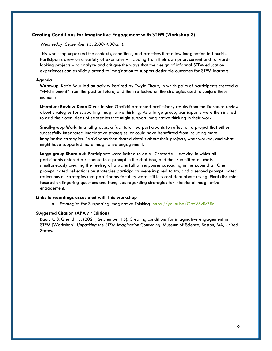#### Creating Conditions for Imaginative Engagement with STEM (Workshop 3)

Wednesday, September 15, 2:00-4:00pm ET

This workshop unpacked the contexts, conditions, and practices that allow imagination to flourish. Participants drew on a variety of examples – including from their own prior, current and forwardlooking projects – to analyze and critique the ways that the design of informal STEM education experiences can explicitly attend to imagination to support desirable outcomes for STEM learners.

#### Agenda

Warm-up: Katie Baur led an activity inspired by Twyla Tharp, in which pairs of participants created a "vivid moment" from the past or future, and then reflected on the strategies used to conjure these moments.

Literature Review Deep Dive: Jessica Ghelichi presented preliminary results from the literature review about strategies for supporting imaginative thinking. As a large group, participants were then invited to add their own ideas of strategies that might support imaginative thinking in their work.

Small-group Work: In small groups, a facilitator led participants to reflect on a project that either successfully integrated imaginative strategies, or could have benefitted from including more imaginative strategies. Participants then shared details about their projects, what worked, and what might have supported more imaginative engagement.

Large-group Share-out: Participants were invited to do a "Chatterfall" activity, in which all participants entered a response to a prompt in the chat box, and then submitted all chats simultaneously creating the feeling of a waterfall of responses cascading in the Zoom chat. One prompt invited reflections on strategies participants were inspired to try, and a second prompt invited reflections on strategies that participants felt they were still less confident about trying. Final discussion focused on lingering questions and hang-ups regarding strategies for intentional imaginative engagement.

#### Links to recordings associated with this workshop

**Strategies for Supporting Imaginative Thinking: https://youtu.be/GpzVSvBcZBc** 

#### Suggested Citation (APA 7<sup>th</sup> Edition)

Baur, K. & Ghelichi, J. (2021, September 15). Creating conditions for imaginative engagement in STEM [Workshop]. Unpacking the STEM Imagination Convening, Museum of Science, Boston, MA, United States.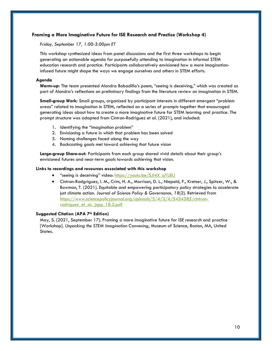## Framing a More Imaginative Future for ISE Research and Practice (Workshop 4)

#### Friday, September 17, 1:00-3:00pm ET

This workshop synthesized ideas from panel discussions and the first three workshops to begin generating an actionable agenda for purposefully attending to imagination in informal STEM education research and practice. Participants collaboratively envisioned how a more imaginationinfused future might shape the ways we engage ourselves and others in STEM efforts.

## Agenda

Warm-up: The team presented Alondra Bobadilla's poem, "seeing is deceiving," which was created as part of Alondra's reflections on preliminary findings from the literature review on imagination in STEM.

Small-group Work: Small groups, organized by participant interests in different emergent "problem areas" related to imagination in STEM, reflected on a series of prompts together that encouraged generating ideas about how to create a more imaginative future for STEM learning and practice. The prompt structure was adapted from Cintron-Rodriguez et al. (2021), and included:

- 1. Identifying the "imagination problem"
- 2. Envisioning a future in which that problem has been solved
- 3. Naming challenges faced along the way
- 4. Backcasting goals met toward achieving that future vision

Large-group Share-out: Participants from each group shared vivid details about their group's envisioned futures and near-term goals towards achieving that vision.

#### Links to recordings and resources associated with this workshop

- "seeing is deceiving" video: https://youtu.be/SJI4X\_qYL8U
- Cintron-Rodgriguez, I. M., Crim, H. A., Morrison, D. L., Niepold, F., Kretser, J., Spitzer, W., & Bowman, T. (2021). Equitable and empowering participatory policy strategies to accelerate just climate action. Journal of Science Policy & Governance, 18(2). Retrieved from https://www.sciencepolicyjournal.org/uploads/5/4/3/4/5434385/cintronrodriguez et al. jspg 18.2.pdf

#### Suggested Citation (APA 7th Edition)

May, S. (2021, September 17). Framing a more imaginative future for ISE research and practice [Workshop]. Unpacking the STEM Imagination Convening, Museum of Science, Boston, MA, United States.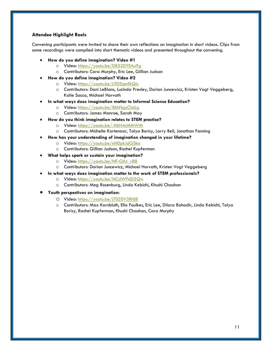## Attendee Highlight Reels

Convening participants were invited to share their own reflections on imagination in short videos. Clips from some recordings were compiled into short thematic videos and presented throughout the convening.

- How do you define imagination? Video #1
	- o Video: https://youtu.be/DB52DYEAu9g
	- o Contributors: Cara Murphy, Eric Lee, Gillian Judson
- How do you define imagination? Video #2
	- o Video: https://youtu.be/L9DSqmfkQic
	- o Contributors: Dani LeBlanc, Lucinda Presley, Dorian Juncewicz, Kristen Vogt Veggeberg, Kalie Sacco, Michael Horvath
	- In what ways does imagination matter to Informal Science Education?
		- o Video: https://youtu.be/8khNgzClmLg
		- o Contributors: James Monroe, Sarah May
- How do you think imagination relates to STEM practice?
	- o Video: https://youtu.be/-If6H4cMMWM
	- o Contributors: Michelle Kortenaar, Talya Borisy, Larry Bell, Jonathan Fanning
- How has your understanding of imagination changed in your lifetime?
	- o Video: https://youtu.be/nH0pkJdGSko
	- o Contributors: Gillian Judson, Rachel Kupferman
- What helps spark or sustain your imagination?
	- o Video: https://youtu.be/NF-GtLt\_v88
	- o Contributors: Dorian Juncewicz, Michael Horvath, Kristen Vogt Veggeberg
- In what ways does imagination matter to the work of STEM professionals?
	- o Video: https://youtu.be/NCslWFdD5Qw
	- o Contributors: Meg Rosenburg, Linda Kebichi, Khushi Chauhan
- Youth perspectives on imagination:
	- O Video: https://youtu.be/jT0Z0V3RHj8
	- o Contributors: Max Kornbluth, Ella Foulkes, Eric Lee, Dilara Bahadir, Linda Kebichi, Talya Borisy, Rachel Kupferman, Khushi Chauhan, Cara Murphy